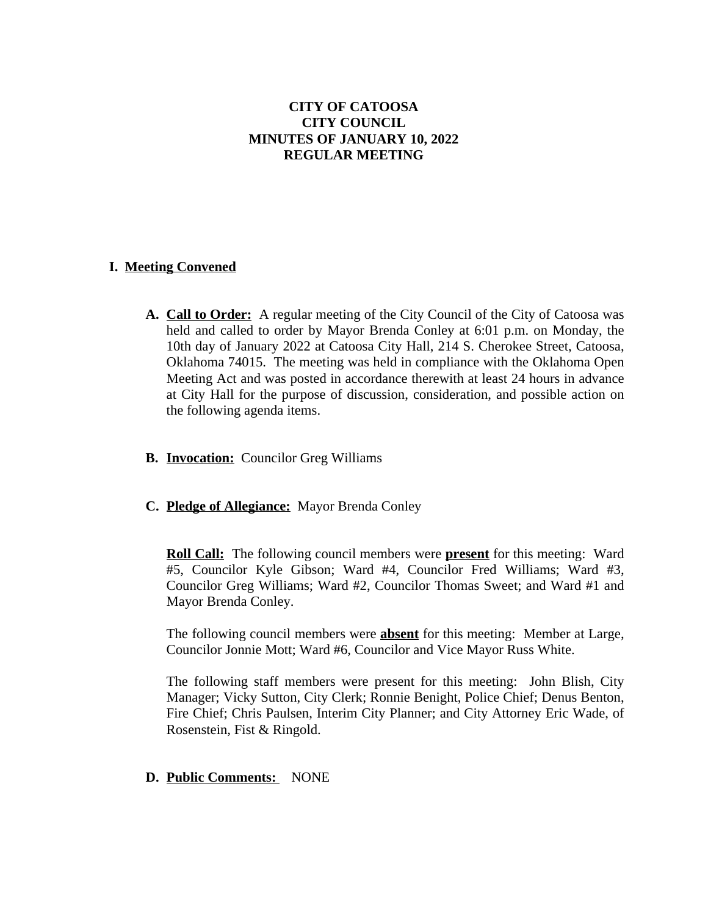# **CITY OF CATOOSA CITY COUNCIL MINUTES OF JANUARY 10, 2022 REGULAR MEETING**

# **I. Meeting Convened**

- **A. Call to Order:** A regular meeting of the City Council of the City of Catoosa was held and called to order by Mayor Brenda Conley at 6:01 p.m. on Monday, the 10th day of January 2022 at Catoosa City Hall, 214 S. Cherokee Street, Catoosa, Oklahoma 74015. The meeting was held in compliance with the Oklahoma Open Meeting Act and was posted in accordance therewith at least 24 hours in advance at City Hall for the purpose of discussion, consideration, and possible action on the following agenda items.
- **B. Invocation:** Councilor Greg Williams
- **C. Pledge of Allegiance:** Mayor Brenda Conley

**Roll Call:** The following council members were **present** for this meeting: Ward #5, Councilor Kyle Gibson; Ward #4, Councilor Fred Williams; Ward #3, Councilor Greg Williams; Ward #2, Councilor Thomas Sweet; and Ward #1 and Mayor Brenda Conley.

The following council members were **absent** for this meeting: Member at Large, Councilor Jonnie Mott; Ward #6, Councilor and Vice Mayor Russ White.

The following staff members were present for this meeting: John Blish, City Manager; Vicky Sutton, City Clerk; Ronnie Benight, Police Chief; Denus Benton, Fire Chief; Chris Paulsen, Interim City Planner; and City Attorney Eric Wade, of Rosenstein, Fist & Ringold.

### **D. Public Comments:** NONE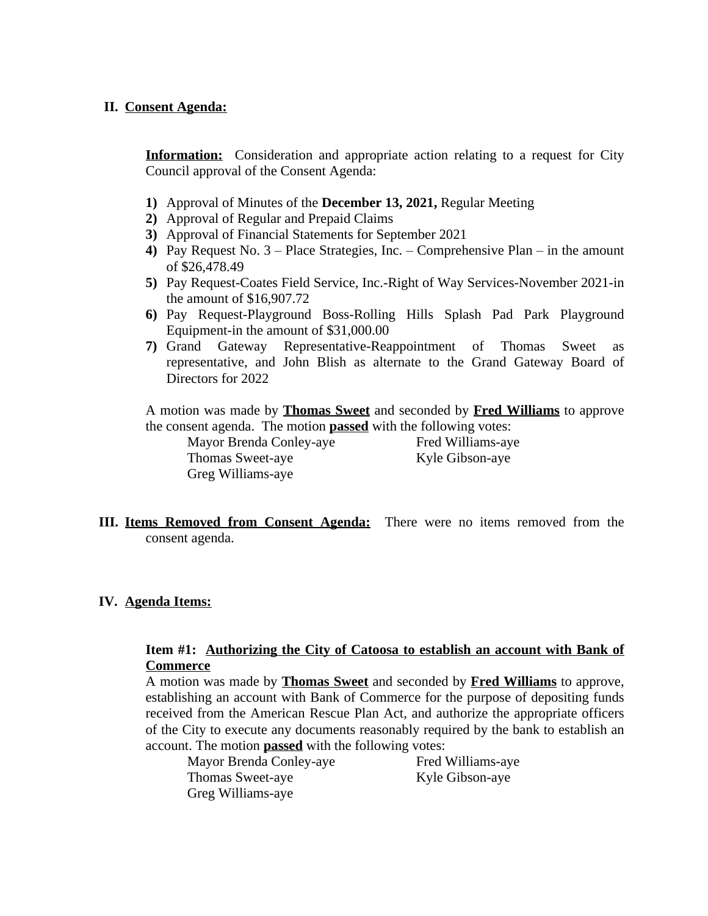## **II. Consent Agenda:**

**Information:** Consideration and appropriate action relating to a request for City Council approval of the Consent Agenda:

- **1)** Approval of Minutes of the **December 13, 2021,** Regular Meeting
- **2)** Approval of Regular and Prepaid Claims
- **3)** Approval of Financial Statements for September 2021
- **4)** Pay Request No. 3 Place Strategies, Inc. Comprehensive Plan in the amount of \$26,478.49
- **5)** Pay Request-Coates Field Service, Inc.-Right of Way Services-November 2021-in the amount of \$16,907.72
- **6)** Pay Request-Playground Boss-Rolling Hills Splash Pad Park Playground Equipment-in the amount of \$31,000.00
- **7)** Grand Gateway Representative-Reappointment of Thomas Sweet as representative, and John Blish as alternate to the Grand Gateway Board of Directors for 2022

A motion was made by **Thomas Sweet** and seconded by **Fred Williams** to approve the consent agenda. The motion **passed** with the following votes:

Mayor Brenda Conley-aye Fred Williams-aye Thomas Sweet-aye Kyle Gibson-aye Greg Williams-aye

**III. Items Removed from Consent Agenda:** There were no items removed from the consent agenda.

### **IV. Agenda Items:**

## **Item #1: Authorizing the City of Catoosa to establish an account with Bank of Commerce**

A motion was made by **Thomas Sweet** and seconded by **Fred Williams** to approve, establishing an account with Bank of Commerce for the purpose of depositing funds received from the American Rescue Plan Act, and authorize the appropriate officers of the City to execute any documents reasonably required by the bank to establish an account. The motion **passed** with the following votes:

| Mayor Brenda Conley-aye |
|-------------------------|
| Thomas Sweet-aye        |
| Greg Williams-aye       |

Fred Williams-aye Kyle Gibson-aye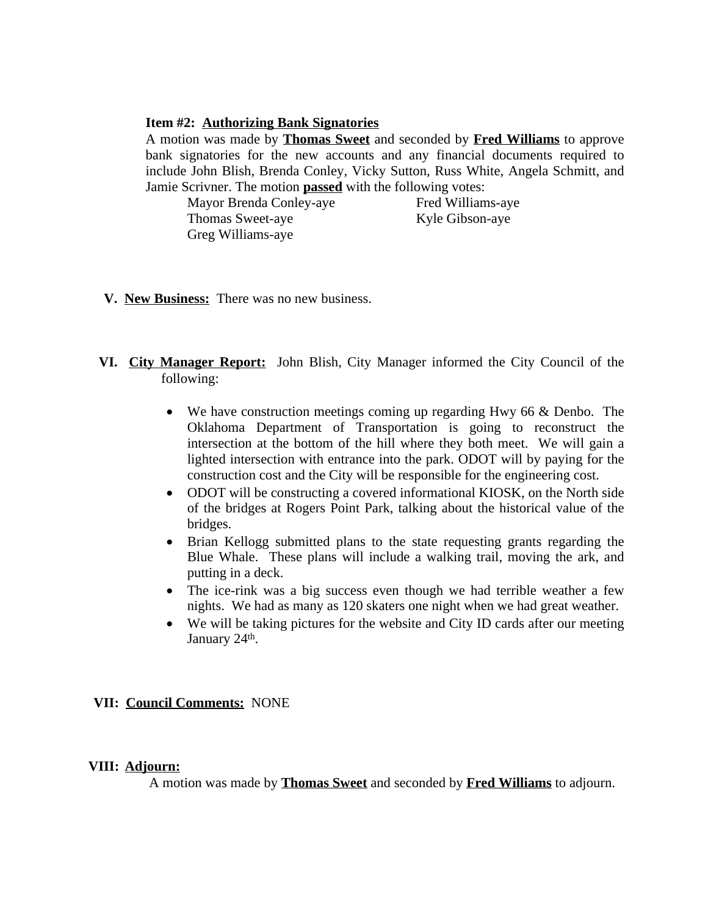#### **Item #2: Authorizing Bank Signatories**

A motion was made by **Thomas Sweet** and seconded by **Fred Williams** to approve bank signatories for the new accounts and any financial documents required to include John Blish, Brenda Conley, Vicky Sutton, Russ White, Angela Schmitt, and Jamie Scrivner. The motion **passed** with the following votes:

Mayor Brenda Conley-aye Fred Williams-aye Thomas Sweet-aye Kyle Gibson-aye Greg Williams-aye

- **V. New Business:** There was no new business.
- **VI. City Manager Report:** John Blish, City Manager informed the City Council of the following:
	- We have construction meetings coming up regarding Hwy 66 & Denbo. The Oklahoma Department of Transportation is going to reconstruct the intersection at the bottom of the hill where they both meet. We will gain a lighted intersection with entrance into the park. ODOT will by paying for the construction cost and the City will be responsible for the engineering cost.
	- ODOT will be constructing a covered informational KIOSK, on the North side of the bridges at Rogers Point Park, talking about the historical value of the bridges.
	- Brian Kellogg submitted plans to the state requesting grants regarding the Blue Whale. These plans will include a walking trail, moving the ark, and putting in a deck.
	- The ice-rink was a big success even though we had terrible weather a few nights. We had as many as 120 skaters one night when we had great weather.
	- We will be taking pictures for the website and City ID cards after our meeting January 24<sup>th</sup>.

### **VII: Council Comments:** NONE

#### **VIII: Adjourn:**

A motion was made by **Thomas Sweet** and seconded by **Fred Williams** to adjourn.